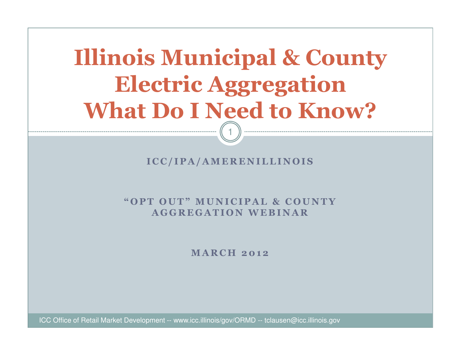# Illinois Municipal & County Electric AggregationWhat Do I Need to Know?

ICC/IPA/AMERENILLINOIS

1

" OPT OUT" MUNICIPAL & COUNTY<br>AGGREGATION WERINAR A G G R E G A TION WE BIN A R

**MARCH 2012**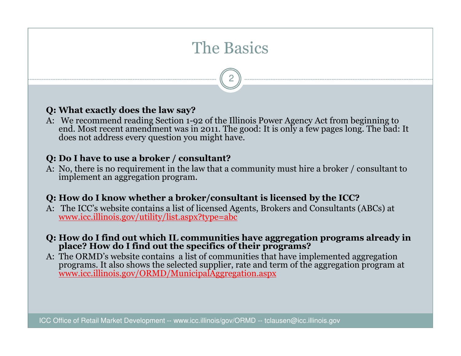

#### Q: What exactly does the law say?

A: We recommend reading Section 1-92 of the Illinois Power Agency Act from beginning to end. Most recent amendment was in 2011. The good: It is only a few pages long. The bad: It does not address every question you might have.

### Q: Do I have to use a broker / consultant?

A: No, there is no requirement in the law that a community must hire a broker / consultant to implement an aggregation program.

### Q: How do I know whether a broker/consultant is licensed by the ICC?

- A: The ICC's website contains a list of licensed Agents, Brokers and Consultants (ABCs) at www.icc.illinois.gov/utility/list.aspx?type=abc
- Q: How do I find out which IL communities have aggregation programs already in place? How do I find out the specifics of their programs?
- A: The ORMD's website contains a list of communities that have implemented aggregation programs. It also shows the selected supplier, rate and term of the aggregation program at www.icc.illinois.gov/ORMD/MunicipalAggregation.aspx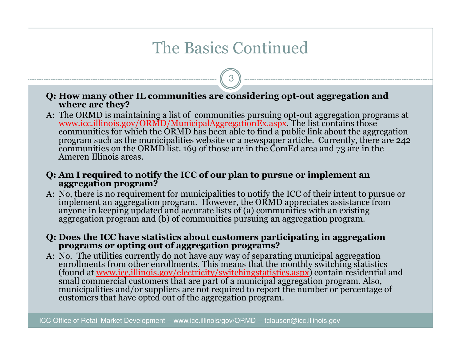### The Basics Continued

3

Q: How many other IL communities are considering opt-out aggregation and where are they?

A: The ORMD is maintaining a list of communities pursuing opt-out aggregation programs at www.icc.illinois.gov/ORMD/MunicipalAggregationEx.aspx. The list contains those<br>communities for which the ORMD has been able to find a public link about the aggregation<br>program such as the municipalities website or a newspa Ameren Illinois areas.

### Q: Am I required to notify the ICC of our plan to pursue or implement an aggregation program?

A: No, there is no requirement for municipalities to notify the ICC of their intent to pursue or implement an aggregation program. However, the ORMD appreciates assistance from<br>anyone in keeping updated and accurate lists of (a) communities with an existing<br>aggregation program and (b) of communities pursuing an aggreg

### Q: Does the ICC have statistics about customers participating in aggregation programs or opting out of aggregation programs?

A: No. The utilities currently do not have any way of separating municipal aggregation enrollments from other enrollments. This means that the monthly switching statistics<br>(found at <u>www.icc.illinois.gov/electricity/switchingstatistics.aspx</u>) contain residential and<br>small commercial customers that are part o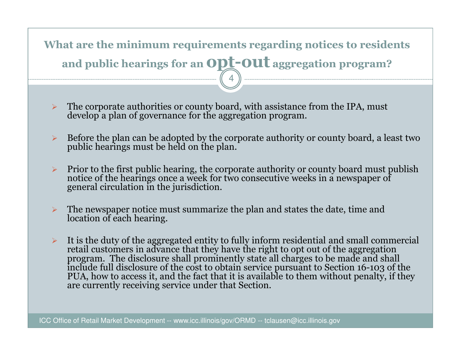What are the minimum requirements regarding notices to residents and public hearings for an  $\operatorname{opt}$  -OU $t$  aggregation program?

4

- $\blacktriangleright$  $\triangleright$  The corporate authorities or county board, with assistance from the IPA, must<br>develop a plan of governance for the aggregation program develop a plan of governance for the aggregation program.
- $\blacktriangleright$ Before the plan can be adopted by the corporate authority or county board, a least two public hearings must be held on the plan.
- $\blacktriangleright$ Prior to the first public hearing, the corporate authority or county board must publish notice of the hearings once a week for two consecutive weeks in a newspaper of general circulation in the jurisdiction.
- $\blacktriangleright$ The newspaper notice must summarize the plan and states the date, time and location of each hearing.
- $\blacktriangleright$ It is the duty of the aggregated entity to fully inform residential and small commercial<br>retail customers in advance that they have the right to opt out of the aggregation<br>program. The disclosure shall prominently state al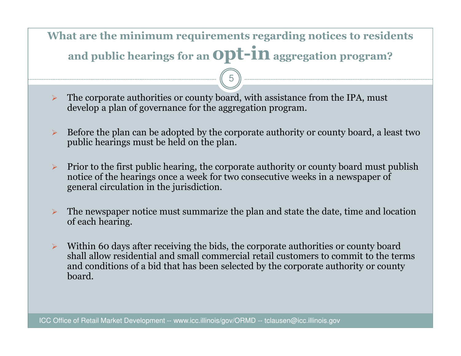### What are the minimum requirements regarding notices to residents and public hearings for an  $\mathbf{Qpt}\text{-}\mathbf{in}$  aggregation program?

 $\sqrt{5}$ 

- $\blacktriangleright$  $\triangleright$  The corporate authorities or county board, with assistance from the IPA, must<br>develop a plan of governance for the excreasion program develop a plan of governance for the aggregation program.
- $\blacktriangleright$  Before the plan can be adopted by the corporate authority or county board, a least two public hearings must be held on the plan.
- $\blacktriangleright$  Prior to the first public hearing, the corporate authority or county board must publish notice of the hearings once a week for two consecutive weeks in a newspaper of general circulation in the jurisdiction.
- $\blacktriangleright$  The newspaper notice must summarize the plan and state the date, time and location of each hearing.
- Within 60 days after receiving the bids, the corporate authorities or county board<br>chall ellew residential and small commencial retail system are to commit to the ten shall allow residential and small commercial retail customers to commit to the terms and conditions of a bid that has been selected by the corporate authority or county board.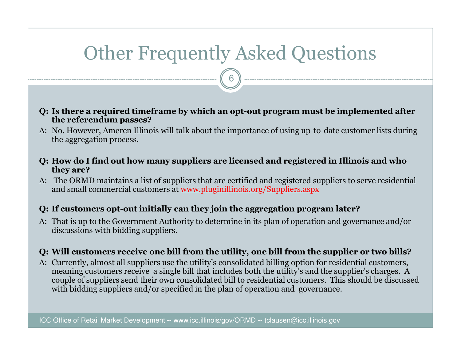### Other Frequently Asked Questions

6

- Q: Is there a required timeframe by which an opt-out program must be implemented after the referendum passes?
- A: No. However, Ameren Illinois will talk about the importance of using up-to-date customer lists during the aggregation process.
- Q: How do I find out how many suppliers are licensed and registered in Illinois and who they are?
- A: The ORMD maintains a list of suppliers that are certified and registered suppliers to serve residential and small commercial customers at www.pluginillinois.org/Suppliers.aspx and small commercial customers at www.pluginillinois.org/Suppliers.aspx

#### Q: If customers opt-out initially can they join the aggregation program later?

A: That is up to the Government Authority to determine in its plan of operation and governance and/or discussions with bidding suppliers.

#### Q: Will customers receive one bill from the utility, one bill from the supplier or two bills?

A: Currently, almost all suppliers use the utility's consolidated billing option for residential customers, meaning customers receive a single bill that includes both the utility's and the supplier's charges. A couple of suppliers send their own consolidated bill to residential customers. This should be discussed with bidding suppliers and/or specified in the plan of operation and governance.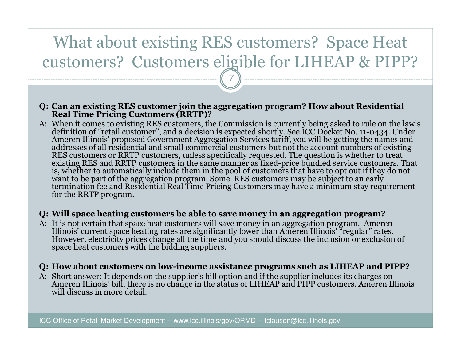### What about existing RES customers? Space Heat customers? Customers eligible for LIHEAP & PIPP?

7

### Q: Can an existing RES customer join the aggregation program? How about Residential Real Time Pricing Customers (RRTP)?

A: When it comes to existing RES customers, the Commission is currently being asked to rule on the law's definition of "retail customer", and a decision is expected shortly. See ICC Docket No. 11-0434. Under<br>Ameren Illinois' proposed Government Aggregation Services tariff, you will be getting the names and<br>addresses of all re

### Q: Will space heating customers be able to save money in an aggregation program?<br>A: It is not certain that space heat customers will save money in an aggregation program. Ameren

Illinois' current space heating rates are significantly lower than Ameren Illinois' "regular" rates.<br>However, electricity prices change all the time and you should discuss the inclusion or exclusion of space heat customers

Q: How about customers on low-income assistance programs such as LIHEAP and PIPP?<br>A: Short answer: It depends on the supplier's bill option and if the supplier includes its charges on Ameren Illinois' bill, there is no change in the status of LIHEAP and PIPP customers. Ameren Illinois will discuss in more detail.